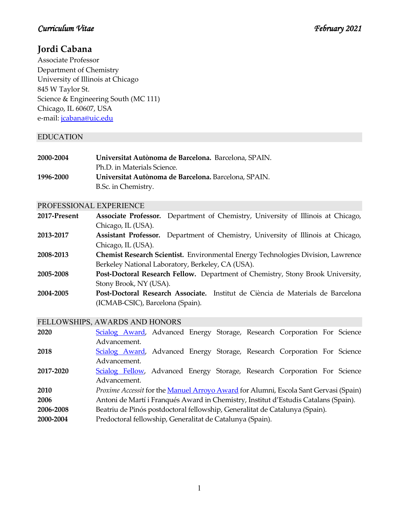# **Jordi Cabana**

Associate Professor Department of Chemistry University of Illinois at Chicago 845 W Taylor St. Science & Engineering South (MC 111) Chicago, IL 60607, USA e-mail: [jcabana@uic.edu](mailto:jcabana@uic.edu)

# EDUCATION

| 2000-2004 | Universitat Autònoma de Barcelona. Barcelona, SPAIN. |
|-----------|------------------------------------------------------|
|           | Ph.D. in Materials Science.                          |
| 1996-2000 | Universitat Autònoma de Barcelona, Barcelona, SPAIN. |
|           | B.Sc. in Chemistry.                                  |

#### PROFESSIONAL EXPERIENCE

| 2017-Present |                    | Associate Professor. Department of Chemistry, University of Illinois at Chicago, |  |  |
|--------------|--------------------|----------------------------------------------------------------------------------|--|--|
|              | Chicago, IL (USA). |                                                                                  |  |  |

- **2013-2017 Assistant Professor.** Department of Chemistry, University of Illinois at Chicago, Chicago, IL (USA).
- **2008-2013 Chemist Research Scientist.** Environmental Energy Technologies Division, Lawrence Berkeley National Laboratory, Berkeley, CA (USA).
- **2005-2008 Post-Doctoral Research Fellow.** Department of Chemistry, Stony Brook University, Stony Brook, NY (USA).
- **2004-2005 Post-Doctoral Research Associate.** Institut de Ciència de Materials de Barcelona (ICMAB-CSIC), Barcelona (Spain).

### FELLOWSHIPS, AWARDS AND HONORS

| 2020      | Scialog Award, Advanced Energy Storage, Research Corporation For Science             |  |  |  |  |
|-----------|--------------------------------------------------------------------------------------|--|--|--|--|
|           | Advancement.                                                                         |  |  |  |  |
| 2018      | Scialog Award, Advanced Energy Storage, Research Corporation For Science             |  |  |  |  |
|           | Advancement.                                                                         |  |  |  |  |
| 2017-2020 | Scialog Fellow, Advanced Energy Storage, Research Corporation For Science            |  |  |  |  |
|           | Advancement.                                                                         |  |  |  |  |
| 2010      | Proxime Accessit for the Manuel Arroyo Award for Alumni, Escola Sant Gervasi (Spain) |  |  |  |  |
| 2006      | Antoni de Martí i Franqués Award in Chemistry, Institut d'Estudis Catalans (Spain).  |  |  |  |  |
| 2006-2008 | Beatriu de Pinós postdoctoral fellowship, Generalitat de Catalunya (Spain).          |  |  |  |  |
| 2000-2004 | Predoctoral fellowship, Generalitat de Catalunya (Spain).                            |  |  |  |  |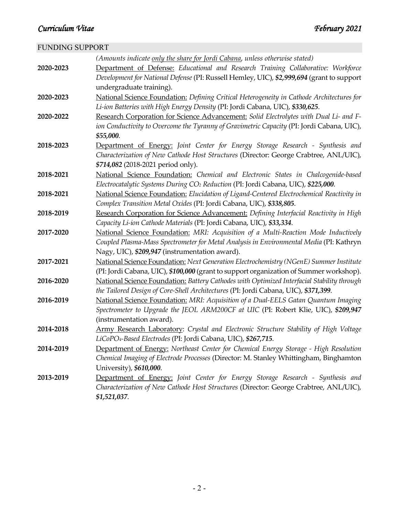# FUNDING SUPPORT

|           | (Amounts indicate only the share for Jordi Cabana, unless otherwise stated)                   |
|-----------|-----------------------------------------------------------------------------------------------|
| 2020-2023 | Department of Defense: Educational and Research Training Collaborative: Workforce             |
|           | Development for National Defense (PI: Russell Hemley, UIC), \$2,999,694 (grant to support     |
|           | undergraduate training).                                                                      |
| 2020-2023 | National Science Foundation: Defining Critical Heterogeneity in Cathode Architectures for     |
|           | Li-ion Batteries with High Energy Density (PI: Jordi Cabana, UIC), \$330,625.                 |
| 2020-2022 | Research Corporation for Science Advancement: Solid Electrolytes with Dual Li- and F-         |
|           | ion Conductivity to Overcome the Tyranny of Gravimetric Capacity (PI: Jordi Cabana, UIC),     |
|           | \$55,000.                                                                                     |
| 2018-2023 | Department of Energy: Joint Center for Energy Storage Research - Synthesis and                |
|           | Characterization of New Cathode Host Structures (Director: George Crabtree, ANL/UIC),         |
|           | \$714,082 (2018-2021 period only).                                                            |
| 2018-2021 | National Science Foundation: Chemical and Electronic States in Chalcogenide-based             |
|           | Electrocatalytic Systems During CO <sub>2</sub> Reduction (PI: Jordi Cabana, UIC), \$225,000. |
| 2018-2021 | National Science Foundation: Elucidation of Ligand-Centered Electrochemical Reactivity in     |
|           | Complex Transition Metal Oxides (PI: Jordi Cabana, UIC), \$338,805.                           |
| 2018-2019 | Research Corporation for Science Advancement: Defining Interfacial Reactivity in High         |
|           | Capacity Li-ion Cathode Materials (PI: Jordi Cabana, UIC), \$33,334.                          |
| 2017-2020 | National Science Foundation: MRI: Acquisition of a Multi-Reaction Mode Inductively            |
|           | Coupled Plasma-Mass Spectrometer for Metal Analysis in Environmental Media (PI: Kathryn       |
|           | Nagy, UIC), \$209,947 (instrumentation award).                                                |
| 2017-2021 | National Science Foundation: Next Generation Electrochemistry (NGenE) Summer Institute        |
|           | (PI: Jordi Cabana, UIC), \$100,000 (grant to support organization of Summer workshop).        |
| 2016-2020 | National Science Foundation: Battery Cathodes with Optimized Interfacial Stability through    |
|           | the Tailored Design of Core-Shell Architectures (PI: Jordi Cabana, UIC), \$371,399.           |
| 2016-2019 | National Science Foundation: MRI: Acquisition of a Dual-EELS Gatan Quantum Imaging            |
|           | Spectrometer to Upgrade the JEOL ARM200CF at UIC (PI: Robert Klie, UIC), \$209,947            |
|           | (instrumentation award).                                                                      |
| 2014-2018 | Army Research Laboratory: Crystal and Electronic Structure Stability of High Voltage          |
|           | LiCoPO <sub>4</sub> -Based Electrodes (PI: Jordi Cabana, UIC), \$267,715.                     |
| 2014-2019 | Department of Energy: Northeast Center for Chemical Energy Storage - High Resolution          |
|           | Chemical Imaging of Electrode Processes (Director: M. Stanley Whittingham, Binghamton         |
|           | University), \$610,000.                                                                       |
| 2013-2019 | Department of Energy: Joint Center for Energy Storage Research - Synthesis and                |
|           | Characterization of New Cathode Host Structures (Director: George Crabtree, ANL/UIC),         |
|           | \$1,521,037.                                                                                  |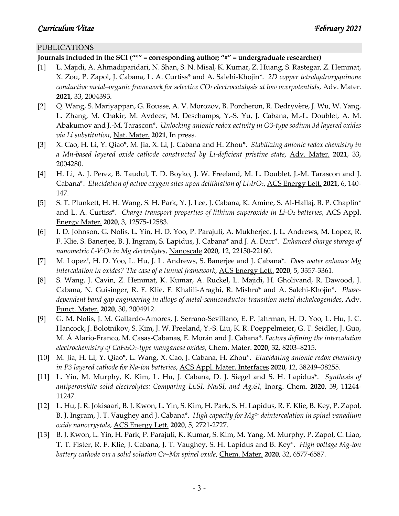### PUBLICATIONS

#### **Journals included in the SCI ("\*" = corresponding author; "#" = undergraduate researcher)**

- [1] L. Majidi, A. Ahmadiparidari, N. Shan, S. N. Misal, K. Kumar, Z. Huang, S. Rastegar, Z. Hemmat, X. Zou, P. Zapol, J. Cabana, L. A. Curtiss\* and A. Salehi-Khojin\*. *2D copper tetrahydroxyquinone conductive metal–organic framework for selective CO2 electrocatalysis at low overpotentials*, Adv. Mater. **2021**, 33, 2004393.
- [2] Q. Wang, S. Mariyappan, G. Rousse, A. V. Morozov, B. Porcheron, R. Dedryvère, J. Wu, W. Yang, L. Zhang, M. Chakir, M. Avdeev, M. Deschamps, Y.-S. Yu, J. Cabana, M.-L. Doublet, A. M. Abakumov and J.-M. Tarascon\*. *Unlocking anionic redox activity in O3-type sodium 3d layered oxides via Li substitution*, Nat. Mater. **2021**, In press.
- [3] X. Cao, H. Li, Y. Qiao\*, M. Jia, X. Li, J. Cabana and H. Zhou\*. *Stabilizing anionic redox chemistry in a Mn-based layered oxide cathode constructed by Li-deficient pristine state*, Adv. Mater. **2021**, 33, 2004280.
- [4] H. Li, A. J. Perez, B. Taudul, T. D. Boyko, J. W. Freeland, M. L. Doublet, J.-M. Tarascon and J. Cabana\*. *Elucidation of active oxygen sites upon delithiation of Li3IrO4*, ACS Energy Lett. **2021**, 6, 140- 147.
- [5] S. T. Plunkett, H. H. Wang, S. H. Park, Y. J. Lee, J. Cabana, K. Amine, S. Al-Hallaj, B. P. Chaplin<sup>\*</sup> and L. A. Curtiss\*. *Charge transport properties of lithium superoxide in Li-O2 batteries*, ACS Appl. Energy Mater. **2020**, 3, 12575-12583.
- [6] I. D. Johnson, G. Nolis, L. Yin, H. D. Yoo, P. Parajuli, A. Mukherjee, J. L. Andrews, M. Lopez, R. F. Klie, S. Banerjee, B. J. Ingram, S. Lapidus, J. Cabana\* and J. A. Darr\*. *Enhanced charge storage of nanometric ζ-V2O5 in Mg electrolytes*, Nanoscale **2020**, 12, 22150-22160.
- [7] M. Lopez<sup>#</sup>, H. D. Yoo, L. Hu, J. L. Andrews, S. Banerjee and J. Cabana\*. *Does water enhance Mg intercalation in oxides? The case of a tunnel framework*, ACS Energy Lett. **2020**, 5, 3357-3361.
- [8] S. Wang, J. Cavin, Z. Hemmat, K. Kumar, A. Ruckel, L. Majidi, H. Gholivand, R. Dawood, J. Cabana, N. Guisinger, R. F. Klie, F. Khalili-Araghi, R. Mishra\* and A. Salehi-Khojin\*. *Phasedependent band gap engineering in alloys of metal-semiconductor transition metal dichalcogenides*, Adv. Funct. Mater. **2020**, 30, 2004912.
- [9] G. M. Nolis, J. M. Gallardo-Amores, J. Serrano-Sevillano, E. P. Jahrman, H. D. Yoo, L. Hu, J. C. Hancock, J. Bolotnikov, S. Kim, J. W. Freeland, Y.-S. Liu, K. R. Poeppelmeier, G. T. Seidler, J. Guo, M. Á Alario-Franco, M. Casas-Cabanas, E. Morán and J. Cabana\*. *Factors defining the intercalation electrochemistry of CaFe2O4-type manganese oxides*, Chem. Mater. **2020**, 32, 8203–8215.
- [10] M. Jia, H. Li, Y. Qiao\*, L. Wang, X. Cao, J. Cabana, H. Zhou\*. *Elucidating anionic redox chemistry in P3 layered cathode for Na-ion batteries*, ACS Appl. Mater. Interfaces **2020**, 12, 38249–38255.
- [11] L. Yin, M. Murphy, K. Kim, L. Hu, J. Cabana, D. J. Siegel and S. H. Lapidus\*. *Synthesis of antiperovskite solid electrolytes: Comparing Li3SI, Na3SI, and Ag3SI*, Inorg. Chem. **2020**, 59, 11244- 11247.
- [12] L. Hu, J. R. Jokisaari, B. J. Kwon, L. Yin, S. Kim, H. Park, S. H. Lapidus, R. F. Klie, B. Key, P. Zapol, B. J. Ingram, J. T. Vaughey and J. Cabana\*. *High capacity for Mg2+ deintercalation in spinel vanadium oxide nanocrystals*, ACS Energy Lett. **2020**, 5, 2721-2727.
- [13] B. J. Kwon, L. Yin, H. Park, P. Parajuli, K. Kumar, S. Kim, M. Yang, M. Murphy, P. Zapol, C. Liao, T. T. Fister, R. F. Klie, J. Cabana, J. T. Vaughey, S. H. Lapidus and B. Key\*. *High voltage Mg-ion battery cathode via a solid solution Cr–Mn spinel oxide*, Chem. Mater. **2020**, 32, 6577-6587.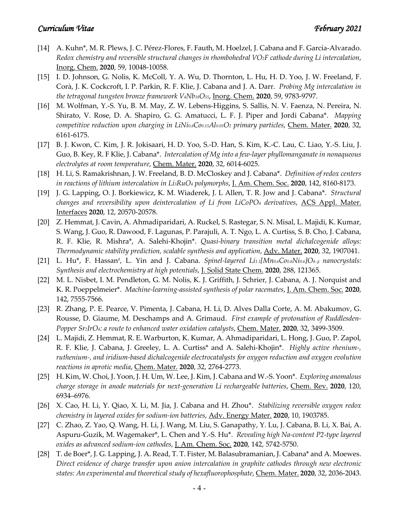- [14] A. Kuhn\*, M. R. Plews, J. C. Pérez-Flores, F. Fauth, M. Hoelzel, J. Cabana and F. García-Alvarado. *Redox chemistry and reversible structural changes in rhombohedral VO2F cathode during Li intercalation*, Inorg. Chem. **2020**, 59, 10048-10058.
- [15] I. D. Johnson, G. Nolis, K. McColl, Y. A. Wu, D. Thornton, L. Hu, H. D. Yoo, J. W. Freeland, F. Corà, J. K. Cockcroft, I. P. Parkin, R. F. Klie, J. Cabana and J. A. Darr. *Probing Mg intercalation in the tetragonal tungsten bronze framework V4Nb18O55*, Inorg. Chem. **2020**, 59, 9783-9797.
- [16] M. Wolfman, Y.-S. Yu, B. M. May, Z. W. Lebens-Higgins, S. Sallis, N. V. Faenza, N. Pereira, N. Shirato, V. Rose, D. A. Shapiro, G. G. Amatucci, L. F. J. Piper and Jordi Cabana\*. *Mapping competitive reduction upon charging in LiNi0.8Co0.15Al0.05O2 primary particles*, Chem. Mater. **2020**, 32, 6161-6175.
- [17] B. J. Kwon, C. Kim, J. R. Jokisaari, H. D. Yoo, S.-D. Han, S. Kim, K.-C. Lau, C. Liao, Y.-S. Liu, J. Guo, B. Key, R. F Klie, J. Cabana\*. *Intercalation of Mg into a few-layer phyllomanganate in nonaqueous electrolytes at room temperature*, Chem. Mater. **2020**, 32, 6014-6025.
- [18] H. Li, S. Ramakrishnan, J. W. Freeland, B. D. McCloskey and J. Cabana\*. *Definition of redox centers in reactions of lithium intercalation in Li3RuO4 polymorphs*, J. Am. Chem. Soc. **2020**, 142, 8160-8173.
- [19] J. G. Lapping, O. J. Borkiewicz, K. M. Wiaderek, J. L Allen, T. R. Jow and J. Cabana\*. *Structural changes and reversibility upon deintercalation of Li from LiCoPO4 derivatives*, ACS Appl. Mater. Interfaces **2020**, 12, 20570-20578.
- [20] Z. Hemmat, J. Cavin, A. Ahmadiparidari, A. Ruckel, S. Rastegar, S. N. Misal, L. Majidi, K. Kumar, S. Wang, J. Guo, R. Dawood, F. Lagunas, P. Parajuli, A. T. Ngo, L. A. Curtiss, S. B. Cho, J. Cabana, R. F. Klie, R. Mishra\*, A. Salehi-Khojin\*. *Quasi-binary transition metal dichalcogenide alloys: Thermodynamic stability prediction, scalable synthesis and application*, Adv. Mater. **2020**, 32, 1907041.
- [21] L. Hu\*, F. Hassan#, L. Yin and J. Cabana. *Spinel-layered Li1.1[Mn0.6Co0.8Ni0.6]O4-*<sup>δ</sup> *nanocrystals: Synthesis and electrochemistry at high potentials*, J. Solid State Chem. **2020**, 288, 121365.
- [22] M. L. Nisbet, I. M. Pendleton, G. M. Nolis, K. J. Griffith, J. Schrier, J. Cabana, A. J. Norquist and K. R. Poeppelmeier\*. *Machine-learning-assisted synthesis of polar racemates*, J. Am. Chem. Soc. **2020**, 142, 7555-7566.
- [23] R. Zhang, P. E. Pearce, V. Pimenta, J. Cabana, H. Li, D. Alves Dalla Corte, A. M. Abakumov, G. Rousse, D. Giaume, M. Deschamps and A. Grimaud. *First example of protonation of Ruddlesden-Popper Sr2IrO4: a route to enhanced water oxidation catalysts*, Chem. Mater. **2020**, 32, 3499-3509.
- [24] L. Majidi, Z. Hemmat, R. E. Warburton, K. Kumar, A. Ahmadiparidari, L. Hong, J. Guo, P. Zapol, R. F. Klie, J. Cabana, J. Greeley, L. A. Curtiss\* and A. Salehi-Khojin\*. *Highly active rhenium-, ruthenium-, and iridium-based dichalcogenide electrocatalysts for oxygen reduction and oxygen evolution reactions in aprotic media*, Chem. Mater. **2020**, 32, 2764-2773.
- [25] H. Kim, W. Choi, J. Yoon, J. H. Um, W. Lee, J. Kim, J. Cabana and W.-S. Yoon\*. *Exploring anomalous charge storage in anode materials for next-generation Li rechargeable batteries*, Chem. Rev. **2020**, 120, 6934–6976.
- [26] X. Cao, H. Li, Y. Qiao, X. Li, M. Jia, J. Cabana and H. Zhou\*. *Stabilizing reversible oxygen redox chemistry in layered oxides for sodium-ion batteries*, Adv. Energy Mater. **2020**, 10, 1903785.
- [27] C. Zhao, Z. Yao, Q. Wang, H. Li, J. Wang, M. Liu, S. Ganapathy, Y. Lu, J. Cabana, B. Li, X. Bai, A. Aspuru-Guzik, M. Wagemaker\*, L. Chen and Y.-S. Hu\*. *Revealing high Na-content P2-type layered oxides as advanced sodium-ion cathodes*, J. Am. Chem. Soc. **2020**, 142, 5742-5750.
- [28] T. de Boer\*, J. G. Lapping, J. A. Read, T. T. Fister, M. Balasubramanian, J. Cabana\* and A. Moewes. *Direct evidence of charge transfer upon anion intercalation in graphite cathodes through new electronic states: An experimental and theoretical study of hexafluorophosphate*, Chem. Mater. **2020**, 32, 2036-2043.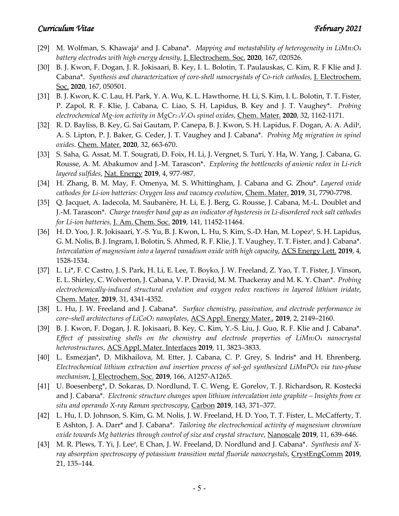- [29] M. Wolfman, S. Khawaja# and J. Cabana\*. *Mapping and metastability of heterogeneity in LiMn2O4 battery electrodes with high energy density*, J. Electrochem. Soc. **2020**, 167, 020526.
- [30] B. J. Kwon, F. Dogan, J. R. Jokisaari, B. Key, I. L. Bolotin, T. Paulauskas, C. Kim, R. F Klie and J. Cabana\*. *Synthesis and characterization of core-shell nanocrystals of Co-rich cathodes*, J. Electrochem. Soc. **2020**, 167, 050501.
- [31] B. J. Kwon, K. C. Lau, H. Park, Y. A. Wu, K. L. Hawthorne, H. Li, S. Kim, I. L. Bolotin, T. T. Fister, P. Zapol, R. F. Klie, J. Cabana, C. Liao, S. H. Lapidus, B. Key and J. T. Vaughey\*. *Probing electrochemical Mg-ion activity in MgCr2-xVxO4 spinel oxides*, Chem. Mater. **2020**, 32, 1162-1171.
- [32] R. D. Bayliss, B. Key, G. Sai Gautam, P. Canepa, B. J. Kwon, S. H. Lapidus, F. Dogan, A. A. Adil<sup>#</sup>, A. S. Lipton, P. J. Baker, G. Ceder, J. T. Vaughey and J. Cabana\*. *Probing Mg migration in spinel oxides*. Chem. Mater. **2020**, 32, 663-670.
- [33] S. Saha, G. Assat, M. T. Sougrati, D. Foix, H. Li, J. Vergnet, S. Turi, Y. Ha, W. Yang, J. Cabana, G. Rousse, A. M. Abakumov and J.-M. Tarascon\*. *Exploring the bottlenecks of anionic redox in Li-rich layered sulfides*, Nat. Energy **2019**, 4, 977-987.
- [34] H. Zhang, B. M. May, F. Omenya, M. S. Whittingham, J. Cabana and G. Zhou\*. *Layered oxide cathodes for Li-ion batteries: Oxygen loss and vacancy evolution*, Chem. Mater. **2019**, 31, 7790-7798.
- [35] Q. Jacquet, A. Iadecola, M. Saubanère, H. Li, E. J. Berg, G. Rousse, J. Cabana, M.-L. Doublet and J.-M. Tarascon\*. *Charge transfer band gap as an indicator of hysteresis in Li-disordered rock salt cathodes for Li-ion batteries*, J. Am. Chem. Soc. **2019**, 141, 11452-11464.
- [36] H. D. Yoo, J. R. Jokisaari, Y.-S. Yu, B. J. Kwon, L. Hu, S. Kim, S.-D. Han, M. Lopez<sup>#</sup>, S. H. Lapidus, G. M. Nolis, B. J. Ingram, I. Bolotin, S. Ahmed, R. F. Klie, J. T. Vaughey, T. T. Fister, and J. Cabana\*. *Intercalation of magnesium into a layered vanadium oxide with high capacity*, ACS Energy Lett. **2019**, 4, 1528-1534.
- [37] L. Li\*, F. C Castro, J. S. Park, H. Li, E. Lee, T. Boyko, J. W. Freeland, Z. Yao, T. T. Fister, J. Vinson, E. L. Shirley, C. Wolverton, J. Cabana, V. P. Dravid, M. M. Thackeray and M. K. Y. Chan\*. *Probing electrochemically-induced structural evolution and oxygen redox reactions in layered lithium iridate*, Chem. Mater. **2019**, 31, 4341-4352.
- [38] L. Hu, J. W. Freeland and J. Cabana<sup>\*</sup>. *Surface chemistry, passivation, and electrode performance in core–shell architectures of LiCoO2 nanoplates*, ACS Appl. Energy Mater., **2019**, 2, 2149–2160.
- [39] B. J. Kwon, F. Dogan, J. R. Jokisaari, B. Key, C. Kim, Y.-S. Liu, J. Guo, R. F. Klie and J. Cabana\*. *Effect of passivating shells on the chemistry and electrode properties of LiMn2O4 nanocrystal heterostructures*, ACS Appl. Mater. Interfaces **2019**, 11, 3823–3833.
- [40] L. Esmezjan\*, D. Mikhailova, M. Etter, J. Cabana, C. P. Grey, S. Indris\* and H. Ehrenberg. *Electrochemical lithium extraction and insertion process of sol-gel synthesized LiMnPO4 via two-phase mechanism*, J. Electrochem. Soc. **2019**, 166, A1257-A1265.
- [41] U. Boesenberg\*, D. Sokaras, D. Nordlund, T. C. Weng, E. Gorelov, T. J. Richardson, R. Kostecki and J. Cabana\*. *Electronic structure changes upon lithium intercalation into graphite – Insights from ex situ and operando X-ray Raman spectroscopy*, Carbon **2019**, 143, 371–377.
- [42] L. Hu, I. D. Johnson, S. Kim, G. M. Nolis, J. W. Freeland, H. D. Yoo, T. T. Fister, L. McCafferty, T. E Ashton, J. A. Darr\* and J. Cabana\*. *Tailoring the electrochemical activity of magnesium chromium oxide towards Mg batteries through control of size and crystal structure*, Nanoscale **2019**, 11, 639–646.
- [43] M. R. Plews, T. Yi, J. Lee<sup>#</sup>, E Chan, J. W. Freeland, D. Nordlund and J. Cabana\*. *Synthesis and Xray absorption spectroscopy of potassium transition metal fluoride nanocrystals*, CrystEngComm 2019, 21, 135–144.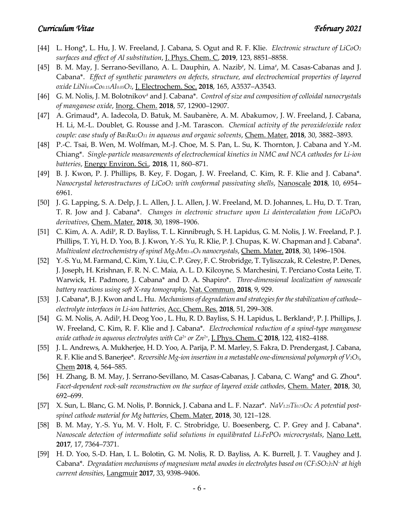- [44] L. Hong\*, L. Hu, J. W. Freeland, J. Cabana, S. Ogut and R. F. Klie. *Electronic structure of LiCoO2 surfaces and effect of Al substitution*, J. Phys. Chem. C, **2019**, 123, 8851–8858.
- [45] B. M. May, J. Serrano-Sevillano, A. L. Dauphin, A. Nazib<sup>#</sup>, N. Lima<sup>#</sup>, M. Casas-Cabanas and J. Cabana\*. *Effect of synthetic parameters on defects, structure, and electrochemical properties of layered oxide LiNi0.80Co0.15Al0.05O2*, J. Electrochem. Soc. **2018**, 165, A3537–A3543.
- [46] G. M. Nolis, J. M. Bolotnikov<sup>#</sup> and J. Cabana<sup>\*</sup>. *Control of size and composition of colloidal nanocrystals of manganese oxide*, Inorg. Chem. **2018**, 57, 12900–12907.
- [47] A. Grimaud\*, A. Iadecola, D. Batuk, M. Saubanère, A. M. Abakumov, J. W. Freeland, J. Cabana, H. Li, M.-L. Doublet, G. Rousse and J.-M. Tarascon. *Chemical activity of the peroxide/oxide redox couple: case study of Ba5Ru2O11 in aqueous and organic solvents*, Chem. Mater. **2018**, 30, 3882–3893.
- [48] P.-C. Tsai, B. Wen, M. Wolfman, M.-J. Choe, M. S. Pan, L. Su, K. Thornton, J. Cabana and Y.-M. Chiang\*. *Single-particle measurements of electrochemical kinetics in NMC and NCA cathodes for Li-ion batteries*, Energy Environ. Sci.*,* **2018**, 11, 860–871.
- [49] B. J. Kwon, P. J. Phillips, B. Key, F. Dogan, J. W. Freeland, C. Kim, R. F. Klie and J. Cabana\*. *Nanocrystal heterostructures of LiCoO2 with conformal passivating shells*, Nanoscale **2018**, 10, 6954– 6961.
- [50] J. G. Lapping, S. A. Delp, J. L. Allen, J. L. Allen, J. W. Freeland, M. D. Johannes, L. Hu, D. T. Tran, T. R. Jow and J. Cabana\*. *Changes in electronic structure upon Li deintercalation from LiCoPO4 derivatives*, Chem. Mater. **2018**, 30, 1898–1906.
- [51] C. Kim, A. A. Adil<sup>#</sup>, R. D. Bayliss, T. L. Kinnibrugh, S. H. Lapidus, G. M. Nolis, J. W. Freeland, P. J. Phillips, T. Yi, H. D. Yoo, B. J. Kwon, Y.-S. Yu, R. Klie, P. J. Chupas, K. W. Chapman and J. Cabana\*. *Multivalent electrochemistry of spinel MgxMn3–xO4 nanocrystals*, Chem. Mater. **2018**, 30, 1496–1504.
- [52] Y.-S. Yu, M. Farmand, C. Kim, Y. Liu, C. P. Grey, F. C. Strobridge, T. Tyliszczak, R. Celestre, P. Denes, J. Joseph, H. Krishnan, F. R. N. C. Maia, A. L. D. Kilcoyne, S. Marchesini, T. Perciano Costa Leite, T. Warwick, H. Padmore, J. Cabana\* and D. A. Shapiro\*. *Three-dimensional localization of nanoscale battery reactions using soft X-ray tomography*, Nat. Commun. **2018**, 9, 929.
- [53] J. Cabana\*, B. J. Kwon and L. Hu. *Mechanisms of degradation and strategies for the stabilization of cathode– electrolyte interfaces in Li-ion batteries*, Acc. Chem. Res. **2018**, 51, 299–308.
- [54] G. M. Nolis, A. Adil<sup>#</sup>, H. Deog Yoo , L. Hu, R. D. Bayliss, S. H. Lapidus, L. Berkland<sup>#</sup>, P. J. Phillips, J. W. Freeland, C. Kim, R. F. Klie and J. Cabana\*. *Electrochemical reduction of a spinel-type manganese oxide cathode in aqueous electrolytes with Ca2+ or Zn2+*, J. Phys. Chem. C **2018**, 122, 4182–4188.
- [55] J. L. Andrews, A. Mukherjee, H. D. Yoo, A. Parija, P. M. Marley, S. Fakra, D. Prendergast, J. Cabana, R. F. Klie and S. Banerjee\*. *Reversible Mg-ion insertion in a metastable one-dimensional polymorph of V2O5*, Chem **2018**, 4, 564–585.
- [56] H. Zhang, B. M. May, J. Serrano-Sevillano, M. Casas-Cabanas, J. Cabana, C. Wang\* and G. Zhou\*. *Facet-dependent rock-salt reconstruction on the surface of layered oxide cathodes*, Chem. Mater. **2018**, 30, 692–699.
- [57] X. Sun, L. Blanc, G. M. Nolis, P. Bonnick, J. Cabana and L. F. Nazar\*. *NaV1.25Ti0.75O4: A potential postspinel cathode material for Mg batteries*, Chem. Mater. **2018**, 30, 121–128.
- [58] B. M. May, Y.-S. Yu, M. V. Holt, F. C. Strobridge, U. Boesenberg, C. P. Grey and J. Cabana\*. *Nanoscale detection of intermediate solid solutions in equilibrated LixFePO4 microcrystals*, Nano Lett. **2017**, 17, 7364–7371.
- [59] H. D. Yoo, S.-D. Han, I. L. Bolotin, G. M. Nolis, R. D. Bayliss, A. K. Burrell, J. T. Vaughey and J. Cabana\*. *Degradation mechanisms of magnesium metal anodes in electrolytes based on (CF3SO2)2N– at high current densities*, Langmuir **2017**, 33, 9398–9406.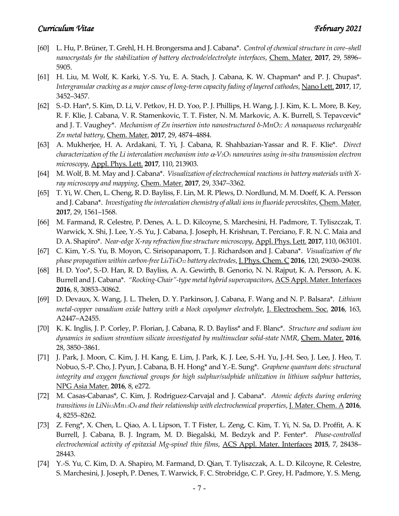- [60] L. Hu, P. Brüner, T. Grehl, H. H. Brongersma and J. Cabana\*. *Control of chemical structure in core–shell nanocrystals for the stabilization of battery electrode/electrolyte interfaces*, Chem. Mater. **2017**, 29, 5896– 5905.
- [61] H. Liu, M. Wolf, K. Karki, Y.-S. Yu, E. A. Stach, J. Cabana, K. W. Chapman\* and P. J. Chupas\*. *Intergranular cracking as a major cause of long-term capacity fading of layered cathodes*, Nano Lett. **2017**, 17, 3452–3457.
- [62] S.-D. Han\*, S. Kim, D. Li, V. Petkov, H. D. Yoo, P. J. Phillips, H. Wang, J. J. Kim, K. L. More, B. Key, R. F. Klie, J. Cabana, V. R. Stamenkovic, T. T. Fister, N. M. Markovic, A. K. Burrell, S. Tepavcevic\* and J. T. Vaughey\*. *Mechanism of Zn insertion into nanostructured δ-MnO2: A nonaqueous rechargeable Zn metal battery*, Chem. Mater. **2017**, 29, 4874–4884.
- [63] A. Mukherjee, H. A. Ardakani, T. Yi, J. Cabana, R. Shahbazian-Yassar and R. F. Klie\*. *Direct characterization of the Li intercalation mechanism into* α*-V2O5 nanowires using in-situ transmission electron microscopy*, Appl. Phys. Lett. **2017**, 110, 213903.
- [64] M. Wolf, B. M. May and J. Cabana<sup>\*</sup>. *Visualization of electrochemical reactions in battery materials with* X*ray microscopy and mapping*, Chem. Mater. **2017**, 29, 3347–3362.
- [65] T. Yi, W. Chen, L. Cheng, R. D. Bayliss, F. Lin, M. R. Plews, D. Nordlund, M. M. Doeff, K. A. Persson and J. Cabana\*. *Investigating the intercalation chemistry of alkali ions in fluoride perovskites*, Chem. Mater. **2017**, 29, 1561–1568.
- [66] M. Farmand, R. Celestre, P. Denes, A. L. D. Kilcoyne, S. Marchesini, H. Padmore, T. Tyliszczak, T. Warwick, X. Shi, J. Lee, Y.-S. Yu, J. Cabana, J. Joseph, H. Krishnan, T. Perciano, F. R. N. C. Maia and D. A. Shapiro\*. *Near-edge X-ray refraction fine structure microscopy*, Appl. Phys. Lett. **2017**, 110, 063101.
- [67] C. Kim, Y.-S. Yu, B. Moyon, C. Sirisopanaporn, T. J. Richardson and J. Cabana\*. *Visualization of the phase propagation within carbon-free Li4Ti5O12 battery electrodes*, J. Phys. Chem. C **2016**, 120, 29030–29038.
- [68] H. D. Yoo\*, S.-D. Han, R. D. Bayliss, A. A. Gewirth, B. Genorio, N. N. Rajput, K. A. Persson, A. K. Burrell and J. Cabana\*. *"Rocking-Chair"-type metal hybrid supercapacitors*, ACS Appl. Mater. Interfaces **2016**, 8, 30853–30862.
- [69] D. Devaux, X. Wang, J. L. Thelen, D. Y. Parkinson, J. Cabana, F. Wang and N. P. Balsara\*. *Lithium metal-copper vanadium oxide battery with a block copolymer electrolyte*, J. Electrochem. Soc. **2016**, 163, A2447–A2455.
- [70] K. K. Inglis, J. P. Corley, P. Florian, J. Cabana, R. D. Bayliss\* and F. Blanc\*. *Structure and sodium ion dynamics in sodium strontium silicate investigated by multinuclear solid-state NMR*, Chem. Mater. **2016**, 28, 3850−3861.
- [71] J. Park, J. Moon, C. Kim, J. H. Kang, E. Lim, J. Park, K. J. Lee, S.-H. Yu, J.-H. Seo, J. Lee, J. Heo, T. Nobuo, S.-P. Cho, J. Pyun, J. Cabana, B. H. Hong\* and Y.-E. Sung\*. *Graphene quantum dots: structural integrity and oxygen functional groups for high sulphur/sulphide utilization in lithium sulphur batteries*, NPG Asia Mater. **2016**, 8, e272.
- [72] M. Casas-Cabanas\*, C. Kim, J. Rodriguez-Carvajal and J. Cabana\*. *Atomic defects during ordering transitions in LiNi0.5Mn1.5O4 and their relationship with electrochemical properties*, J. Mater. Chem. A **2016**, 4, 8255–8262.
- [73] Z. Feng\*, X. Chen, L. Qiao, A. L Lipson, T. T Fister, L. Zeng, C. Kim, T. Yi, N. Sa, D. Proffit, A. K Burrell, J. Cabana, B. J. Ingram, M. D. Biegalski, M. Bedzyk and P. Fenter\*. *Phase-controlled electrochemical activity of epitaxial Mg-spinel thin films*, ACS Appl. Mater. Interfaces **2015**, 7, 28438– 28443.
- [74] Y.-S. Yu, C. Kim, D. A. Shapiro, M. Farmand, D. Qian, T. Tyliszczak, A. L. D. Kilcoyne, R. Celestre, S. Marchesini, J. Joseph, P. Denes, T. Warwick, F. C. Strobridge, C. P. Grey, H. Padmore, Y. S. Meng,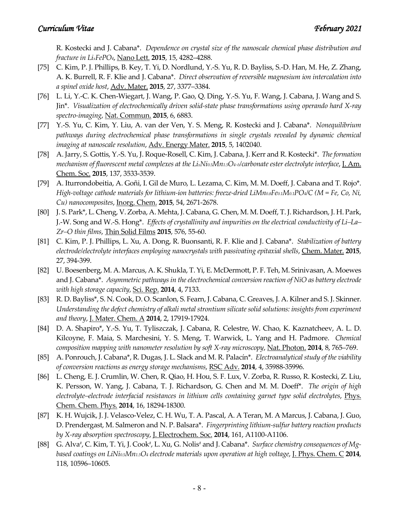R. Kostecki and J. Cabana\*. *Dependence on crystal size of the nanoscale chemical phase distribution and fracture in LixFePO4*, Nano Lett. **2015**, 15, 4282–4288.

- [75] C. Kim, P. J. Phillips, B. Key, T. Yi, D. Nordlund, Y.-S. Yu, R. D. Bayliss, S.-D. Han, M. He, Z. Zhang, A. K. Burrell, R. F. Klie and J. Cabana\*. *Direct observation of reversible magnesium ion intercalation into a spinel oxide host*, Adv. Mater. **2015**, 27, 3377–3384.
- [76] L. Li, Y.-C. K. Chen-Wiegart, J. Wang, P. Gao, Q. Ding, Y.-S. Yu, F. Wang, J. Cabana, J. Wang and S. Jin\*. *Visualization of electrochemically driven solid-state phase transformations using operando hard X-ray spectro-imaging*, Nat. Commun. **2015**, 6, 6883.
- [77] Y.-S. Yu, C. Kim, Y. Liu, A. van der Ven, Y. S. Meng, R. Kostecki and J. Cabana\*. *Nonequilibrium pathways during electrochemical phase transformations in single crystals revealed by dynamic chemical imaging at nanoscale resolution*, Adv. Energy Mater. **2015**, 5, 1402040.
- [78] A. Jarry, S. Gottis, Y.-S. Yu, J. Roque-Rosell, C. Kim, J. Cabana, J. Kerr and R. Kostecki\*. *The formation mechanism of fluorescent metal complexes at the LixNi0.5Mn1.5O4−δ/carbonate ester electrolyte interface*, J. Am. Chem. Soc. **2015**, 137, 3533-3539.
- [79] A. Iturrondobeitia, A. Goñi, I. Gil de Muro, L. Lezama, C. Kim, M. M. Doeff, J. Cabana and T. Rojo\*. *High-voltage cathode materials for lithium-ion batteries: freeze-dried LiMn0.8Fe0.1M0.1PO4/C (M = Fe, Co, Ni, Cu) nanocomposites*, Inorg. Chem. **2015**, 54, 2671-2678.
- [80] J. S. Park\*, L. Cheng, V. Zorba, A. Mehta, J. Cabana, G. Chen, M. M. Doeff, T. J. Richardson, J. H. Park, J.-W. Song and W.-S. Hong\*. *Effects of crystallinity and impurities on the electrical conductivity of Li–La– Zr–O thin films*, Thin Solid Films **2015**, 576, 55-60.
- [81] C. Kim, P. J. Phillips, L. Xu, A. Dong, R. Buonsanti, R. F. Klie and J. Cabana\*. *Stabilization of battery electrode/electrolyte interfaces employing nanocrystals with passivating epitaxial shells*, Chem. Mater. **2015**, 27, 394-399.
- [82] U. Boesenberg, M. A. Marcus, A. K. Shukla, T. Yi, E. McDermott, P. F. Teh, M. Srinivasan, A. Moewes and J. Cabana\*. *Asymmetric pathways in the electrochemical conversion reaction of NiO as battery electrode with high storage capacity*, Sci. Rep. **2014**, 4, 7133.
- [83] R. D. Bayliss\*, S. N. Cook, D. O. Scanlon, S. Fearn, J. Cabana, C. Greaves, J. A. Kilner and S. J. Skinner. *Understanding the defect chemistry of alkali metal strontium silicate solid solutions: insights from experiment and theory*, J. Mater. Chem. A **2014**, 2, 17919-17924.
- [84] D. A. Shapiro\*, Y.-S. Yu, T. Tyliszczak, J. Cabana, R. Celestre, W. Chao, K. Kaznatcheev, A. L. D. Kilcoyne, F. Maia, S. Marchesini, Y. S. Meng, T. Warwick, L. Yang and H. Padmore. *Chemical composition mapping with nanometer resolution by soft X-ray microscopy*, Nat. Photon. **2014**, 8, 765–769.
- [85] A. Ponrouch, J. Cabana\*, R. Dugas, J. L. Slack and M. R. Palacín\*. *Electroanalytical study of the viability of conversion reactions as energy storage mechanisms*, RSC Adv. **2014**, 4, 35988-35996.
- [86] L. Cheng, E. J. Crumlin, W. Chen, R. Qiao, H. Hou, S. F. Lux, V. Zorba, R. Russo, R. Kostecki, Z. Liu, K. Persson, W. Yang, J. Cabana, T. J. Richardson, G. Chen and M. M. Doeff\*. *The origin of high electrolyte–electrode interfacial resistances in lithium cells containing garnet type solid electrolytes*, Phys. Chem. Chem. Phys. **2014**, 16, 18294-18300.
- [87] K. H. Wujcik, J. J. Velasco-Velez, C. H. Wu, T. A. Pascal, A. A Teran, M. A Marcus, J. Cabana, J. Guo, D. Prendergast, M. Salmeron and N. P. Balsara\*. *Fingerprinting lithium-sulfur battery reaction products by X-ray absorption spectroscopy*, J. Electrochem. Soc. **2014**, 161, A1100-A1106.
- [88] G. Alva<sup>#</sup>, C. Kim, T. Yi, J. Cook<sup>#</sup>, L. Xu, G. Nolis<sup>#</sup> and J. Cabana\*. *Surface chemistry consequences of Mgbased coatings on LiNi0.5Mn1.5O4 electrode materials upon operation at high voltage*, J. Phys. Chem. C **2014**, 118, 10596–10605.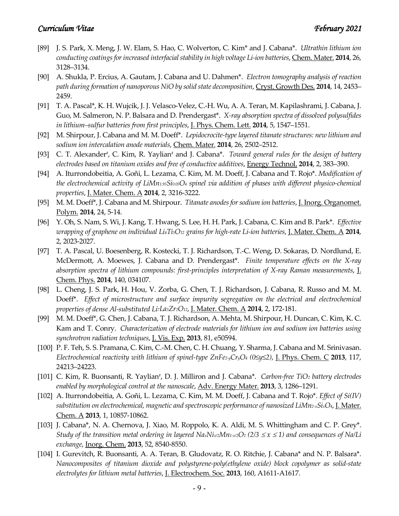- [89] J. S. Park, X. Meng, J. W. Elam, S. Hao, C. Wolverton, C. Kim\* and J. Cabana\*. *Ultrathin lithium ion conducting coatings for increased interfacial stability in high voltage Li-ion batteries*, Chem. Mater. **2014**, 26, 3128–3134.
- [90] A. Shukla, P. Ercius, A. Gautam, J. Cabana and U. Dahmen\*. *Electron tomography analysis of reaction path during formation of nanoporous NiO by solid state decomposition*, Cryst. Growth Des. **2014**, 14, 2453– 2459.
- [91] T. A. Pascal\*, K. H. Wujcik, J. J. Velasco-Velez, C.-H. Wu, A. A. Teran, M. Kapilashrami, J. Cabana, J. Guo, M. Salmeron, N. P. Balsara and D. Prendergast\*. *X-ray absorption spectra of dissolved polysulfides in lithium–sulfur batteries from first principles*, J. Phys. Chem. Lett. **2014**, 5, 1547–1551.
- [92] M. Shirpour, J. Cabana and M. M. Doeff\*. *Lepidocrocite-type layered titanate structures: new lithium and sodium ion intercalation anode materials*, Chem. Mater. **2014**, 26, 2502–2512.
- [93] C. T. Alexander<sup>#</sup>, C. Kim, R. Yaylian<sup>#</sup> and J. Cabana<sup>\*</sup>. *Toward general rules for the design of battery electrodes based on titanium oxides and free of conductive additives*, Energy Technol. **2014**, 2, 383–390.
- [94] A. Iturrondobeitia, A. Goñi, L. Lezama, C. Kim, M. M. Doeff, J. Cabana and T. Rojo\*. *Modification of the electrochemical activity of LiMn1.95Si0.05O4 spinel via addition of phases with different physico-chemical properties*, J. Mater. Chem. A **2014**, 2, 3216-3222.
- [95] M. M. Doeff\*, J. Cabana and M. Shirpour. *Titanate anodes for sodium ion batteries*, J. Inorg. Organomet. Polym. **2014**, 24, 5-14.
- [96] Y. Oh, S. Nam, S. Wi, J. Kang, T. Hwang, S. Lee, H. H. Park, J. Cabana, C. Kim and B. Park\*. *Effective wrapping of graphene on individual Li4Ti5O12 grains for high-rate Li-ion batteries*, J. Mater. Chem. A **2014**, 2, 2023-2027.
- [97] T. A. Pascal, U. Boesenberg, R. Kostecki, T. J. Richardson, T.-C. Weng, D. Sokaras, D. Nordlund, E. McDermott, A. Moewes, J. Cabana and D. Prendergast\*. *Finite temperature effects on the X-ray absorption spectra of lithium compounds: first-principles interpretation of X-ray Raman measurements*, J. Chem. Phys. **2014**, 140, 034107.
- [98] L. Cheng, J. S. Park, H. Hou, V. Zorba, G. Chen, T. J. Richardson, J. Cabana, R. Russo and M. M. Doeff\*. *Effect of microstructure and surface impurity segregation on the electrical and electrochemical properties of dense Al-substituted Li7La3Zr2O12*, J. Mater. Chem. A **2014**, 2, 172-181.
- [99] M. M. Doeff\*, G. Chen, J. Cabana, T. J. Richardson, A. Mehta, M. Shirpour, H. Duncan, C. Kim, K. C. Kam and T. Conry. *Characterization of electrode materials for lithium ion and sodium ion batteries using synchrotron radiation techniques*, J. Vis. Exp. **2013**, 81, e50594.
- [100] P. F. Teh, S. S. Pramana, C. Kim, C.-M. Chen, C. H. Chuang, Y. Sharma, J. Cabana and M. Srinivasan. *Electrochemical reactivity with lithium of spinel-type ZnFe2-yCryO4 (0≤y≤2)*, J. Phys. Chem. C **2013**, 117, 24213–24223.
- [101] C. Kim, R. Buonsanti, R. Yaylian#, D. J. Milliron and J. Cabana\*. *Carbon-free TiO2 battery electrodes enabled by morphological control at the nanoscale*, Adv. Energy Mater. **2013**, 3, 1286–1291.
- [102] A. Iturrondobeitia, A. Goñi, L. Lezama, C. Kim, M. M. Doeff, J. Cabana and T. Rojo\*. *Effect of Si(IV) substitution on electrochemical, magnetic and spectroscopic performance of nanosized LiMn2-xSixO4*, J. Mater. Chem. A **2013**, 1, 10857-10862.
- [103] J. Cabana\*, N. A. Chernova, J. Xiao, M. Roppolo, K. A. Aldi, M. S. Whittingham and C. P. Grey\*. *Study of the transition metal ordering in layered NaxNix/2Mn<sub>1-x/2</sub>O<sub>2</sub> (2/3*  $\leq$  *x*  $\leq$  *1) and consequences of Na/Li exchange*, Inorg. Chem. **2013**, 52, 8540-8550.
- [104] I. Gurevitch, R. Buonsanti, A. A. Teran, B. Gludovatz, R. O. Ritchie, J. Cabana\* and N. P. Balsara\*. *Nanocomposites of titanium dioxide and polystyrene-poly(ethylene oxide) block copolymer as solid-state electrolytes for lithium metal batteries*, J. Electrochem. Soc. **2013**, 160, A1611-A1617.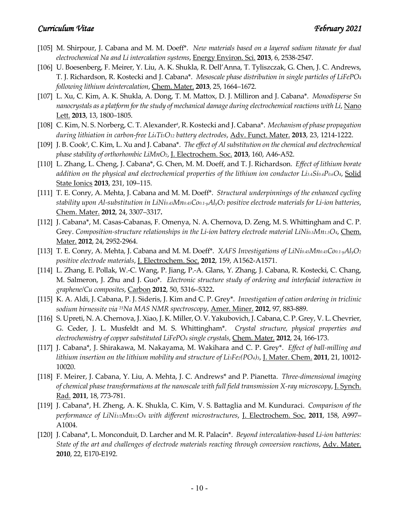- [105] M. Shirpour, J. Cabana and M. M. Doeff<sup>\*</sup>. New materials based on a layered sodium titanate for dual *electrochemical Na and Li intercalation systems*, Energy Environ. Sci. **2013**, 6, 2538-2547.
- [106] U. Boesenberg, F. Meirer, Y. Liu, A. K. Shukla, R. Dell'Anna, T. Tyliszczak, G. Chen, J. C. Andrews, T. J. Richardson, R. Kostecki and J. Cabana\*. *Mesoscale phase distribution in single particles of LiFePO4 following lithium deintercalation*, Chem. Mater. **2013**, 25, 1664–1672.
- [107] L. Xu, C. Kim, A. K. Shukla, A. Dong, T. M. Mattox, D. J. Milliron and J. Cabana\*. *Monodisperse Sn nanocrystals as a platform for the study of mechanical damage during electrochemical reactions with Li*, Nano Lett. **2013**, 13, 1800–1805.
- [108] C. Kim, N. S. Norberg, C. T. Alexander<sup>#</sup>, R. Kostecki and J. Cabana<sup>\*</sup>. *Mechanism of phase propagation during lithiation in carbon-free Li4Ti5O12 battery electrodes*, Adv. Funct. Mater. **2013**, 23, 1214-1222.
- [109] J. B. Cook<sup>#</sup>, C. Kim, L. Xu and J. Cabana<sup>\*</sup>. *The effect of Al substitution on the chemical and electrochemical phase stability of orthorhombic LiMnO2*, J. Electrochem. Soc. **2013**, 160, A46-A52.
- [110] L. Zhang, L. Cheng, J. Cabana\*, G. Chen, M. M. Doeff, and T. J. Richardson. *Effect of lithium borate addition on the physical and electrochemical properties of the lithium ion conductor Li3.4Si0.4P0.6O4*, Solid State Ionics **2013**, 231, 109–115.
- [111] T. E. Conry, A. Mehta, J. Cabana and M. M. Doeff\*. *Structural underpinnings of the enhanced cycling stability upon Al-substitution in LiNi0.45Mn0.45Co0.1-yAlyO2 positive electrode materials for Li-ion batteries*, Chem. Mater. **2012**, 24, 3307–3317**.**
- [112] J. Cabana\*, M. Casas-Cabanas, F. Omenya, N. A. Chernova, D. Zeng, M. S. Whittingham and C. P. Grey. *Composition-structure relationships in the Li-ion battery electrode material LiNio.5Mn1.5O4*, *Chem.* Mater. **2012**, 24, 2952-2964.
- [113] T. E. Conry, A. Mehta, J. Cabana and M. M. Doeff\*. *XAFS Investigations of LiNi0.45Mn0.45Co0.1-yAlyO2 positive electrode materials*, J. Electrochem. Soc. **2012**, 159, A1562-A1571.
- [114] L. Zhang, E. Pollak, W.-C. Wang, P. Jiang, P.-A. Glans, Y. Zhang, J. Cabana, R. Kostecki, C. Chang, M. Salmeron, J. Zhu and J. Guo\*. *Electronic structure study of ordering and interfacial interaction in graphene/Cu composites*, Carbon **2012**, 50, 5316–5322**.**
- [115] K. A. Aldi, J. Cabana, P. J. Sideris, J. Kim and C. P. Grey\*. *Investigation of cation ordering in triclinic sodium birnessite via 23Na MAS NMR spectroscopy*, Amer. Miner. **2012**, 97, 883-889.
- [116] S. Upreti, N. A. Chernova, J. Xiao, J. K. Miller, O. V. Yakubovich, J. Cabana, C. P. Grey, V. L. Chevrier, G. Ceder, J. L. Musfeldt and M. S. Whittingham\*. *Crystal structure, physical properties and electrochemistry of copper substituted LiFePO4 single crystals*, Chem. Mater. **2012**, 24, 166-173.
- [117] J. Cabana\*, J. Shirakawa, M. Nakayama, M. Wakihara and C. P. Grey\*. *Effect of ball-milling and lithium insertion on the lithium mobility and structure of Li3Fe2(PO4)3*, J. Mater. Chem. **2011**, 21, 10012- 10020.
- [118] F. Meirer, J. Cabana, Y. Liu, A. Mehta, J. C. Andrews\* and P. Pianetta. *Three-dimensional imaging of chemical phase transformations at the nanoscale with full field transmission X-ray microscopy*, J. Synch. Rad. **2011**, 18, 773-781.
- [119] J. Cabana\*, H. Zheng, A. K. Shukla, C. Kim, V. S. Battaglia and M. Kunduraci. *Comparison of the performance of LiNi1/2Mn3/2O4 with different microstructures*, J. Electrochem. Soc. **2011**, 158, A997– A1004.
- [120] J. Cabana\*, L. Monconduit, D. Larcher and M. R. Palacín\*. *Beyond intercalation-based Li-ion batteries: State of the art and challenges of electrode materials reacting through conversion reactions*, Adv. Mater. **2010**, 22, E170-E192.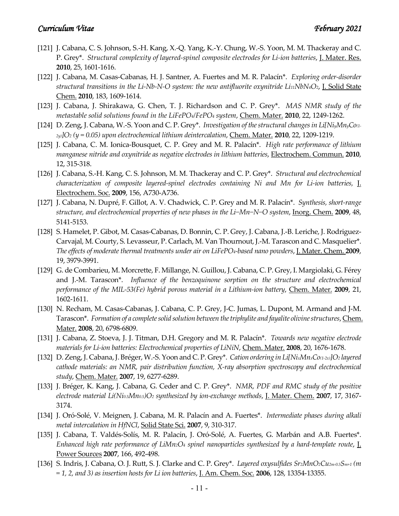- [121] J. Cabana, C. S. Johnson, S.-H. Kang, X.-Q. Yang, K.-Y. Chung, W.-S. Yoon, M. M. Thackeray and C. P. Grey\*. *Structural complexity of layered-spinel composite electrodes for Li-ion batteries*, J. Mater. Res. **2010**, 25, 1601-1616.
- [122] J. Cabana, M. Casas-Cabanas, H. J. Santner, A. Fuertes and M. R. Palacín\*. *Exploring order-disorder structural transitions in the Li-Nb-N-O system: the new antifluorite oxynitride Li11NbN4O2*, J. Solid State Chem. **2010**, 183, 1609-1614.
- [123] J. Cabana, J. Shirakawa, G. Chen, T. J. Richardson and C. P. Grey\*. *MAS NMR study of the metastable solid solutions found in the LiFePO4/FePO4 system*, Chem. Mater. **2010**, 22, 1249-1262.
- [124] D. Zeng, J. Cabana, W.-S. Yoon and C. P. Grey\*. *Investigation of the structural changes in Li[NiyMnyCo(1- 2y)]O2 (y = 0.05) upon electrochemical lithium deintercalation*, Chem. Mater. **2010**, 22, 1209-1219.
- [125] J. Cabana, C. M. Ionica-Bousquet, C. P. Grey and M. R. Palacín\*. *High rate performance of lithium manganese nitride and oxynitride as negative electrodes in lithium batteries*, Electrochem. Commun. **2010**, 12, 315-318.
- [126] J. Cabana, S.-H. Kang, C. S. Johnson, M. M. Thackeray and C. P. Grey\*. *Structural and electrochemical characterization of composite layered-spinel electrodes containing Ni and Mn for Li-ion batteries,* J. Electrochem. Soc. **2009**, 156, A730-A736.
- [127] J. Cabana, N. Dupré, F. Gillot, A. V. Chadwick, C. P. Grey and M. R. Palacín\*. *Synthesis, short-range structure, and electrochemical properties of new phases in the Li−Mn−N−O system*, Inorg. Chem. **2009**, 48, 5141-5153.
- [128] S. Hamelet, P. Gibot, M. Casas-Cabanas, D. Bonnin, C. P. Grey, J. Cabana, J.-B. Leriche, J. Rodriguez-Carvajal, M. Courty, S. Levasseur, P. Carlach, M. Van Thournout, J.-M. Tarascon and C. Masquelier\*. *The effects of moderate thermal treatments under air on LiFePO4-based nano powders*, J. Mater. Chem. **2009**, 19, 3979-3991.
- [129] G. de Combarieu, M. Morcrette, F. Millange, N. Guillou, J. Cabana, C. P. Grey, I. Margiolaki, G. Férey and J.-M. Tarascon\*. *Influence of the benzoquinone sorption on the structure and electrochemical performance of the MIL-53(Fe) hybrid porous material in a Lithium-ion battery*, Chem. Mater. **2009**, 21, 1602-1611.
- [130] N. Recham, M. Casas-Cabanas, J. Cabana, C. P. Grey, J-C. Jumas, L. Dupont, M. Armand and J-M. Tarascon\*. *Formation of a complete solid solution between the triphylite and fayalite olivine structures*, Chem. Mater. **2008**, 20, 6798-6809.
- [131] J. Cabana, Z. Stoeva, J. J. Titman, D.H. Gregory and M. R. Palacín\*. *Towards new negative electrode materials for Li-ion batteries: Electrochemical properties of LiNiN*, Chem. Mater. **2008**, 20, 1676-1678.
- [132] D. Zeng, J. Cabana, J. Bréger, W.-S. Yoon and C.P. Grey\*. *Cation ordering in Li[NixMnxCo(1-2x)]O2 layered cathode materials: an NMR, pair distribution function, X-ray absorption spectroscopy and electrochemical study*, Chem. Mater. **2007**, 19, 6277-6289.
- [133] J. Bréger, K. Kang, J. Cabana, G. Ceder and C. P. Grey\*. *NMR, PDF and RMC study of the positive electrode material Li(Ni0.5Mn0.5)O2 synthesized by ion-exchange methods*, J. Mater. Chem. **2007**, 17, 3167- 3174.
- [134] J. Oró-Solé, V. Meignen, J. Cabana, M. R. Palacín and A. Fuertes\*. *Intermediate phases during alkali metal intercalation in HfNCl*, Solid State Sci. **2007**, 9, 310-317.
- [135] J. Cabana, T. Valdés-Solís, M. R. Palacín, J. Oró-Solé, A. Fuertes, G. Marbán and A.B. Fuertes\*. *Enhanced high rate performance of LiMn2O4 spinel nanoparticles synthesized by a hard-template route*, J. Power Sources **2007**, 166, 492-498.
- [136] S. Indris, J. Cabana, O. J. Rutt, S. J. Clarke and C. P. Grey\*. *Layered oxysulfides Sr2MnO2Cu2m-0.5Sm+1 (m = 1, 2, and 3) as insertion hosts for Li ion batteries*, J. Am. Chem. Soc. **2006**, 128, 13354-13355.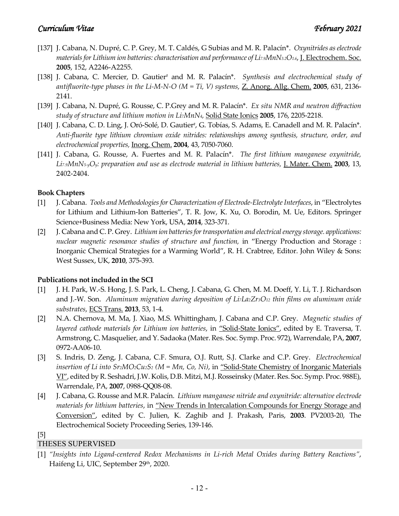- [137] J. Cabana, N. Dupré, C. P. Grey, M. T. Caldés, G Subias and M. R. Palacín\*. *Oxynitrides as electrode materials for Lithium ion batteries: characterisation and performance of Li7.9MnN3.2O1.6*, J. Electrochem. Soc. **2005**, 152, A2246-A2255.
- [138] J. Cabana, C. Mercier, D. Gautier# and M. R. Palacín\*. *Synthesis and electrochemical study of antifluorite-type phases in the Li-M-N-O (M = Ti, V) systems,* Z. Anorg. Allg. Chem. **2005**, 631, 2136- 2141.
- [139] J. Cabana, N. Dupré, G. Rousse, C. P.Grey and M. R. Palacín\*. *Ex situ NMR and neutron diffraction study of structure and lithium motion in Li7MnN4,* Solid State Ionics **2005**, 176, 2205-2218.
- [140] J. Cabana, C. D. Ling, J. Oró-Solé, D. Gautier<sup>#</sup>, G. Tobías, S. Adams, E. Canadell and M. R. Palacín<sup>\*</sup>. *Anti-fluorite type lithium chromium oxide nitrides: relationships among synthesis, structure, order, and electrochemical properties,* Inorg. Chem. **2004**, 43, 7050-7060.
- [141] J. Cabana, G. Rousse, A. Fuertes and M. R. Palacín\*. *The first lithium manganese oxynitride, Li7.9MnN5-yOy: preparation and use as electrode material in lithium batteries,* J. Mater. Chem. **2003**, 13, 2402-2404.

#### **Book Chapters**

- [1] J. Cabana. *Tools and Methodologies for Characterization of Electrode-Electrolyte Interfaces*, in "Electrolytes for Lithium and Lithium-Ion Batteries", T. R. Jow, K. Xu, O. Borodin, M. Ue, Editors. Springer Science+Business Media: New York, USA, **2014**, 323-371.
- [2] J. Cabana and C. P. Grey. *Lithium ion batteries for transportation and electrical energy storage. applications: nuclear magnetic resonance studies of structure and function,* in "Energy Production and Storage : Inorganic Chemical Strategies for a Warming World", R. H. Crabtree, Editor. John Wiley & Sons: West Sussex, UK, **2010**, 375-393.

### **Publications not included in the SCI**

- [1] J. H. Park, W.-S. Hong, J. S. Park, L. Cheng, J. Cabana, G. Chen, M. M. Doeff, Y. Li, T. J. Richardson and J.-W. Son. *Aluminum migration during deposition of LizLa2Zr3O12 thin films on aluminum oxide substrates*, ECS Trans. **2013**, 53, 1-4.
- [2] N.A. Chernova, M. Ma, J. Xiao, M.S. Whittingham, J. Cabana and C.P. Grey. *Magnetic studies of layered cathode materials for Lithium ion batteries*, in "Solid-State Ionics", edited by E. Traversa, T. Armstrong, C. Masquelier, and Y. Sadaoka (Mater. Res. Soc. Symp. Proc. 972), Warrendale, PA, **2007**, 0972-AA06-10.
- [3] S. Indris, D. Zeng, J. Cabana, C.F. Smura, O.J. Rutt, S.J. Clarke and C.P. Grey. *Electrochemical insertion of Li into Sr2MO2Cu2S2 (M = Mn, Co, Ni)*, in "Solid-State Chemistry of Inorganic Materials VI", edited by R. Seshadri, J.W. Kolis, D.B. Mitzi, M.J. Rosseinsky (Mater. Res. Soc. Symp. Proc. 988E), Warrendale, PA, **2007**, 0988-QQ08-08.
- [4] J. Cabana, G. Rousse and M.R. Palacín. *Lithium manganese nitride and oxynitride: alternative electrode materials for lithium batteries*, in "New Trends in Intercalation Compounds for Energy Storage and Conversion", edited by C. Julien, K. Zaghib and J. Prakash, Paris, **2003**. PV2003-20, The Electrochemical Society Proceeding Series, 139-146.
- [5]

### THESES SUPERVISED

[1] *"Insights into Ligand-centered Redox Mechanisms in Li-rich Metal Oxides during Battery Reactions"*, Haifeng Li, UIC, September 29<sup>th</sup>, 2020.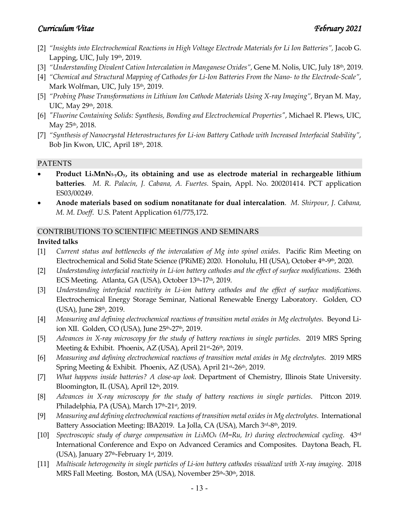- [2] *"Insights into Electrochemical Reactions in High Voltage Electrode Materials for Li Ion Batteries",* Jacob G. Lapping, UIC, July 19th, 2019.
- [3] *"Understanding Divalent Cation Intercalation in Manganese Oxides",* Gene M. Nolis, UIC, July 18th, 2019.
- [4] *"Chemical and Structural Mapping of Cathodes for Li-Ion Batteries From the Nano- to the Electrode-Scale"*, Mark Wolfman, UIC, July 15<sup>th</sup>, 2019.
- [5] *"Probing Phase Transformations in Lithium Ion Cathode Materials Using X-ray Imaging"*, Bryan M. May, UIC, May 29<sup>th</sup>, 2018.
- [6] *"Fluorine Containing Solids: Synthesis, Bonding and Electrochemical Properties"*, Michael R. Plews, UIC, May 25th, 2018.
- [7] *"Synthesis of Nanocrystal Heterostructures for Li-ion Battery Cathode with Increased Interfacial Stability"*, Bob Jin Kwon, UIC, April 18th, 2018.

# PATENTS

- **Product LixMnN5-yOy, its obtaining and use as electrode material in rechargeable lithium batteries***. M. R. Palacín, J. Cabana, A. Fuertes.* Spain, Appl. No. 200201414. PCT application ES03/00249.
- **Anode materials based on sodium nonatitanate for dual intercalation**. *M. Shirpour, J. Cabana, M. M. Doeff*. U.S. Patent Application 61/775,172.

# CONTRIBUTIONS TO SCIENTIFIC MEETINGS AND SEMINARS

# **Invited talks**

- [1] *Current status and bottlenecks of the intercalation of Mg into spinel oxides*. Pacific Rim Meeting on Electrochemical and Solid State Science (PRiME) 2020. Honolulu, HI (USA), October 4th-9th, 2020.
- [2] *Understanding interfacial reactivity in Li-ion battery cathodes and the effect of surface modifications*. 236th ECS Meeting. Atlanta, GA (USA), October 13<sup>th</sup>-17<sup>th</sup>, 2019.
- [3] *Understanding interfacial reactivity in Li-ion battery cathodes and the effect of surface modifications*. Electrochemical Energy Storage Seminar, National Renewable Energy Laboratory. Golden, CO (USA), June 28<sup>th</sup>, 2019.
- [4] *Measuring and defining electrochemical reactions of transition metal oxides in Mg electrolytes*. Beyond Liion XII. Golden, CO (USA), June 25<sup>th</sup>-27<sup>th</sup>, 2019.
- [5] *Advances in X-ray microscopy for the study of battery reactions in single particles*. 2019 MRS Spring Meeting & Exhibit. Phoenix, AZ (USA), April 21st-26th, 2019.
- [6] *Measuring and defining electrochemical reactions of transition metal oxides in Mg electrolytes*. 2019 MRS Spring Meeting & Exhibit. Phoenix, AZ (USA), April 21st-26th, 2019.
- [7] *What happens inside batteries? A close-up look*. Department of Chemistry, Illinois State University. Bloomington, IL (USA), April 12<sup>th</sup>, 2019.
- [8] *Advances in X-ray microscopy for the study of battery reactions in single particles*. Pittcon 2019. Philadelphia, PA (USA), March 17<sup>th</sup>-21<sup>st</sup>, 2019.
- [9] *Measuring and defining electrochemical reactions of transition metal oxides in Mg electrolytes*. International Battery Association Meeting: IBA2019. La Jolla, CA (USA), March 3rd-8th, 2019.
- [10] *Spectroscopic study of charge compensation in Li3MO4 (M=Ru, Ir) during electrochemical cycling*. 43rd International Conference and Expo on Advanced Ceramics and Composites. Daytona Beach, FL (USA), January  $27<sup>th</sup>$ -February  $1<sup>st</sup>$ , 2019.
- [11] *Multiscale heterogeneity in single particles of Li-ion battery cathodes visualized with X-ray imaging*. 2018 MRS Fall Meeting. Boston, MA (USA), November 25<sup>th</sup>-30<sup>th</sup>, 2018.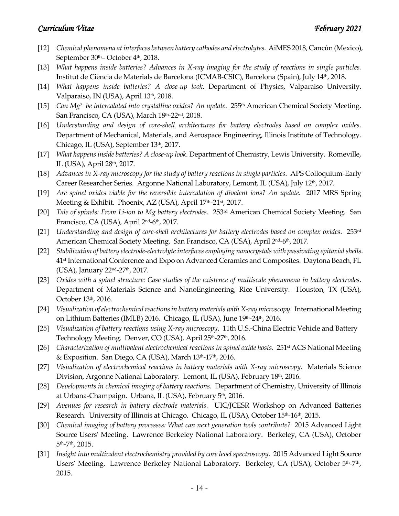- [12] *Chemical phenomena at interfaces between battery cathodes and electrolytes*. AiMES 2018, Cancún (Mexico), September 30<sup>th</sup>– October 4<sup>th</sup>, 2018.
- [13] *What happens inside batteries? Advances in X-ray imaging for the study of reactions in single particles.* Institut de Ciència de Materials de Barcelona (ICMAB-CSIC), Barcelona (Spain), July 14th, 2018.
- [14] *What happens inside batteries? A close-up look*. Department of Physics, Valparaiso University. Valparaiso, IN (USA), April 13<sup>th</sup>, 2018.
- [15] *Can Mg2+ be intercalated into crystalline oxides? An update*. 255th American Chemical Society Meeting. San Francisco, CA (USA), March 18th-22nd, 2018.
- [16] *Understanding and design of core-shell architectures for battery electrodes based on complex oxides*. Department of Mechanical, Materials, and Aerospace Engineering, Illinois Institute of Technology. Chicago, IL (USA), September 13<sup>th</sup>, 2017.
- [17] *What happens inside batteries? A close-up look*. Department of Chemistry, Lewis University. Romeville, IL (USA), April 28th, 2017.
- [18] *Advances in X-ray microscopy for the study of battery reactions in single particles*. APS Colloquium-Early Career Researcher Series. Argonne National Laboratory, Lemont, IL (USA), July 12th, 2017.
- [19] *Are spinel oxides viable for the reversible intercalation of divalent ions? An update.* 2017 MRS Spring Meeting & Exhibit. Phoenix, AZ (USA), April 17<sup>th</sup>-21<sup>st</sup>, 2017.
- [20] *Tale of spinels: From Li-ion to Mg battery electrodes*. 253rd American Chemical Society Meeting. San Francisco, CA (USA), April 2nd-6th, 2017.
- [21] *Understanding and design of core-shell architectures for battery electrodes based on complex oxides*. 253rd American Chemical Society Meeting. San Francisco, CA (USA), April 2<sup>nd</sup>-6<sup>th</sup>, 2017.
- [22] *Stabilization of battery electrode-electrolyte interfaces employing nanocrystals with passivating epitaxial shells*. 41st International Conference and Expo on Advanced Ceramics and Composites. Daytona Beach, FL (USA), January 22nd-27th, 2017.
- [23] *Oxides with a spinel structure: Case studies of the existence of multiscale phenomena in battery electrodes*. Department of Materials Science and NanoEngineering, Rice University. Houston, TX (USA), October 13th, 2016.
- [24] *Visualization of electrochemical reactions in battery materials with X-ray microscopy.* International Meeting on Lithium Batteries (IMLB) 2016. Chicago, IL (USA), June 19th-24th, 2016.
- [25] *Visualization of battery reactions using X-ray microscopy*. 11th U.S.-China Electric Vehicle and Battery Technology Meeting. Denver, CO (USA), April 25<sup>th</sup>-27<sup>th</sup>, 2016.
- [26] *Characterization of multivalent electrochemical reactions in spinel oxide hosts.* 251<sup>st</sup> ACS National Meeting & Exposition. San Diego, CA (USA), March 13<sup>th</sup>-17<sup>th</sup>, 2016.
- [27] *Visualization of electrochemical reactions in battery materials with X-ray microscopy*. Materials Science Division, Argonne National Laboratory. Lemont, IL (USA), February 18<sup>th</sup>, 2016.
- [28] *Developments in chemical imaging of battery reactions*. Department of Chemistry, University of Illinois at Urbana-Champaign. Urbana, IL (USA), February 5th, 2016.
- [29] *Avenues for research in battery electrode materials.* UIC/JCESR Workshop on Advanced Batteries Research. University of Illinois at Chicago. Chicago, IL (USA), October 15<sup>th</sup>-16<sup>th</sup>, 2015.
- [30] *Chemical imaging of battery processes: What can next generation tools contribute?* 2015 Advanced Light Source Users' Meeting. Lawrence Berkeley National Laboratory. Berkeley, CA (USA), October 5th-7th, 2015.
- [31] *Insight into multivalent electrochemistry provided by core level spectroscopy*. 2015 Advanced Light Source Users' Meeting. Lawrence Berkeley National Laboratory. Berkeley, CA (USA), October 5<sup>th</sup>-7<sup>th</sup>, 2015.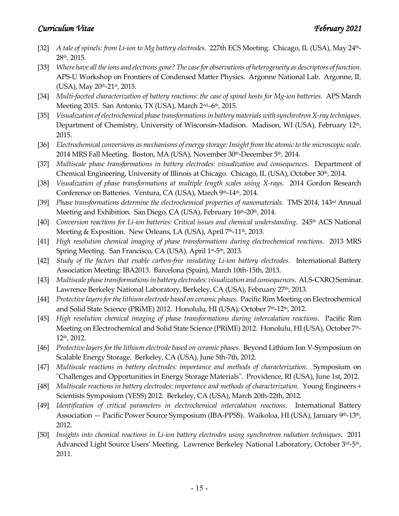- [32] *A tale of spinels: from Li-ion to Mg battery electrodes*. 227th ECS Meeting. Chicago, IL (USA), May 24th-28th, 2015.
- [33] *Where have all the ions and electrons gone? The case for observations of heterogeneity as descriptors of function*. APS-U Workshop on Frontiers of Condensed Matter Physics. Argonne National Lab. Argonne, IL (USA), May 20<sup>th</sup>-21<sup>st</sup>, 2015.
- [34] *Multi-faceted characterization of battery reactions: the case of spinel hosts for Mg-ion batteries*. APS March Meeting 2015. San Antonio, TX (USA), March 2<sup>nd</sup>–6<sup>th</sup>, 2015.
- [35] *Visualization of electrochemical phase transformations in battery materials with synchrotron X-ray techniques*. Department of Chemistry, University of Wisconsin-Madison. Madison, WI (USA), February 12<sup>th</sup>, 2015.
- [36] *Electrochemical conversions as mechanisms of energy storage: Insight from the atomic to the microscopic scale*. 2014 MRS Fall Meeting. Boston, MA (USA), November 30th-December 5th, 2014.
- [37] *Multiscale phase transformations in battery electrodes: visualization and consequences*. Department of Chemical Engineering, University of Illinois at Chicago. Chicago, IL (USA), October 30th, 2014.
- [38] *Visualization of phase transformations at multiple length scales using X-rays*. 2014 Gordon Research Conference on Batteries. Ventura, CA (USA), March 9th-14th, 2014.
- [39] *Phase transformations determine the electrochemical properties of nanomaterials.* TMS 2014, 143rd Annual Meeting and Exhibition. San Diego, CA (USA), February 16<sup>th</sup>-20<sup>th</sup>, 2014.
- [40] *Conversion reactions for Li-ion batteries: Critical issues and chemical understanding.* 245<sup>th</sup> ACS National Meeting & Exposition. New Orleans, LA (USA), April 7<sup>th</sup>-11<sup>th</sup>, 2013.
- [41] *High resolution chemical imaging of phase transformations during electrochemical reactions.* 2013 MRS Spring Meeting. San Francisco, CA (USA), April 1st-5th, 2013.
- [42] *Study of the factors that enable carbon-free insulating Li-ion battery electrodes*. International Battery Association Meeting: IBA2013. Barcelona (Spain), March 10th-15th, 2013.
- [43] *Multiscale phase transformations in battery electrodes: visualization and consequences*. ALS-CXRO Seminar. Lawrence Berkeley National Laboratory, Berkeley, CA (USA), February 27<sup>th</sup>, 2013.
- [44] *Protective layers for the lithium electrode based on ceramic phases.* Pacific Rim Meeting on Electrochemical and Solid State Science (PRiME) 2012. Honolulu, HI (USA), October 7th-12th, 2012.
- [45] *High resolution chemical imaging of phase transformations during intercalation reactions.* Pacific Rim Meeting on Electrochemical and Solid State Science (PRiME) 2012. Honolulu, HI (USA), October 7th-12th, 2012.
- [46] *Protective layers for the lithium electrode based on ceramic phases.* Beyond Lithium Ion V-Symposium on Scalable Energy Storage. Berkeley, CA (USA), June 5th-7th, 2012.
- [47] *Multiscale reactions in battery electrodes: importance and methods of characterization.* Symposium on "Challenges and Opportunities in Energy Storage Materials". Providence, RI (USA), June 1st, 2012.
- [48] *Multiscale reactions in battery electrodes: importance and methods of characterization. Young Engineers +* Scientists Symposium (YESS) 2012. Berkeley, CA (USA), March 20th-22th, 2012.
- [49] *Identification of critical parameters in electrochemical intercalation reactions*. International Battery Association — Pacific Power Source Symposium (IBA-PPSS). Waikoloa, HI (USA), January 9<sup>th</sup>-13<sup>th</sup>, 2012.
- [50] *Insights into chemical reactions in Li-ion battery electrodes using synchrotron radiation techniques*. 2011 Advanced Light Source Users' Meeting. Lawrence Berkeley National Laboratory, October 3<sup>rd</sup>-5<sup>th</sup>, 2011.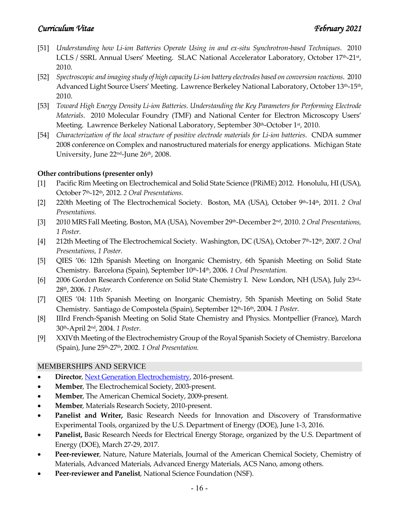- [51] *Understanding how Li-ion Batteries Operate Using in and ex-situ Synchrotron-based Techniques*. 2010 LCLS / SSRL Annual Users' Meeting. SLAC National Accelerator Laboratory, October 17th-21st, 2010.
- [52] *Spectroscopic and imaging study of high capacity Li-ion battery electrodes based on conversion reactions*. 2010 Advanced Light Source Users' Meeting. Lawrence Berkeley National Laboratory, October 13th-15th, 2010.
- [53] *Toward High Energy Density Li-ion Batteries. Understanding the Key Parameters for Performing Electrode Materials*. 2010 Molecular Foundry (TMF) and National Center for Electron Microscopy Users' Meeting. Lawrence Berkeley National Laboratory, September 30th-October 1st, 2010.
- [54] *Characterization of the local structure of positive electrode materials for Li-ion batteries*. CNDA summer 2008 conference on Complex and nanostructured materials for energy applications. Michigan State University, June 22<sup>nd</sup>-June 26<sup>th</sup>, 2008.

### **Other contributions (presenter only)**

- [1] Pacific Rim Meeting on Electrochemical and Solid State Science (PRiME) 2012. Honolulu, HI (USA), October 7th-12th, 2012. *2 Oral Presentations.*
- [2] 220th Meeting of The Electrochemical Society. Boston, MA (USA), October 9th-14th, 2011. *2 Oral Presentations.*
- [3] 2010 MRS Fall Meeting. Boston, MA (USA), November 29th-December 2nd, 2010. *2 Oral Presentations, 1 Poster.*
- [4] 212th Meeting of The Electrochemical Society. Washington, DC (USA), October 7th-12th, 2007. *2 Oral Presentations, 1 Poster.*
- [5] QIES '06: 12th Spanish Meeting on Inorganic Chemistry, 6th Spanish Meeting on Solid State Chemistry. Barcelona (Spain), September 10<sup>th</sup>-14<sup>th</sup>, 2006. *1 Oral Presentation*.
- [6] 2006 Gordon Research Conference on Solid State Chemistry I. New London, NH (USA), July 23rd-28th, 2006. *1 Poster.*
- [7] QIES '04: 11th Spanish Meeting on Inorganic Chemistry, 5th Spanish Meeting on Solid State Chemistry. Santiago de Compostela (Spain), September 12th-16th, 2004. *1 Poster.*
- [8] IIIrd French-Spanish Meeting on Solid State Chemistry and Physics. Montpellier (France), March 30th-April 2nd, 2004. *1 Poster.*
- [9] XXIVth Meeting of the Electrochemistry Group of the Royal Spanish Society of Chemistry. Barcelona (Spain), June 25th-27th, 2002. *1 Oral Presentation.*

### MEMBERSHIPS AND SERVICE

- **Director**, [Next Generation Electrochemistry,](https://energyinitiative.uic.edu/energy/ngene) 2016-present.
- **Member**, The Electrochemical Society, 2003-present.
- **Member**, The American Chemical Society, 2009-present.
- **Member**, Materials Research Society, 2010-present.
- **Panelist and Writer,** Basic Research Needs for Innovation and Discovery of Transformative Experimental Tools, organized by the U.S. Department of Energy (DOE), June 1-3, 2016.
- **Panelist,** Basic Research Needs for Electrical Energy Storage, organized by the U.S. Department of Energy (DOE), March 27-29, 2017.
- **Peer-reviewer**, Nature, Nature Materials, Journal of the American Chemical Society, Chemistry of Materials, Advanced Materials, Advanced Energy Materials, ACS Nano, among others.
- **Peer-reviewer and Panelist**, National Science Foundation (NSF).